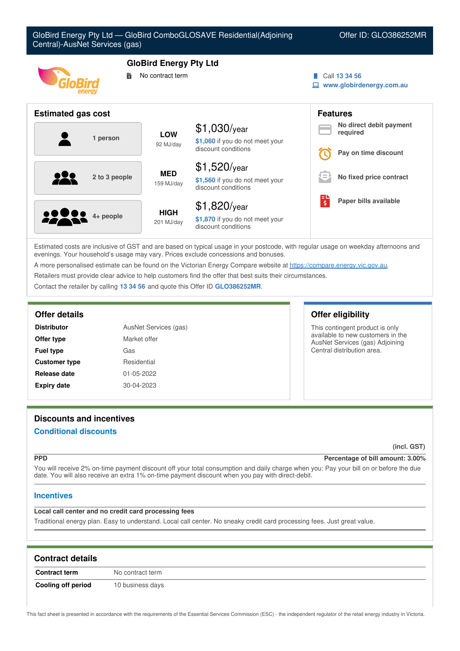| GloBird Energy Pty Ltd - GloBird ComboGLOSAVE Residential(Adjoining<br>Offer ID: GLO386252MR<br>Central)-AusNet Services (gas) |                               |                                                        |                               |                                     |
|--------------------------------------------------------------------------------------------------------------------------------|-------------------------------|--------------------------------------------------------|-------------------------------|-------------------------------------|
|                                                                                                                                | <b>GloBird Energy Pty Ltd</b> |                                                        |                               |                                     |
| В                                                                                                                              | No contract term              |                                                        |                               | Call 13 34 56                       |
|                                                                                                                                |                               |                                                        | www.globirdenergy.com.au<br>旦 |                                     |
|                                                                                                                                |                               |                                                        |                               |                                     |
| <b>Estimated gas cost</b>                                                                                                      |                               |                                                        |                               | <b>Features</b>                     |
|                                                                                                                                |                               | $$1,030$ /year                                         |                               | No direct debit payment<br>required |
| 1 person                                                                                                                       | <b>LOW</b>                    | \$1,060 if you do not meet your                        |                               |                                     |
|                                                                                                                                | 92 MJ/day                     | discount conditions                                    |                               | Pay on time discount                |
|                                                                                                                                |                               |                                                        |                               |                                     |
| 2 to 3 people                                                                                                                  | <b>MED</b><br>159 MJ/day      | $$1,520$ /year                                         |                               | No fixed price contract             |
|                                                                                                                                |                               | \$1,560 if you do not meet your<br>discount conditions |                               |                                     |
|                                                                                                                                |                               |                                                        | ်း                            | Paper bills available               |
|                                                                                                                                | <b>HIGH</b><br>201 MJ/day     | $$1,820$ /year                                         |                               |                                     |
| 4+ people                                                                                                                      |                               | \$1,870 if you do not meet your<br>discount conditions |                               |                                     |

Estimated costs are inclusive of GST and are based on typical usage in your postcode, with regular usage on weekday afternoons and evenings. Your household's usage may vary. Prices exclude concessions and bonuses.

A more personalised estimate can be found on the Victorian Energy Compare website at <https://compare.energy.vic.gov.au>.

Retailers must provide clear advice to help customers find the offer that best suits their circumstances.

Contact the retailer by calling **13 34 56** and quote this Offer ID **GLO386252MR**.

| <b>Distributor</b>   | AusNet Services (gas) |  |
|----------------------|-----------------------|--|
| Offer type           | Market offer          |  |
| <b>Fuel type</b>     | Gas                   |  |
| <b>Customer type</b> | Residential           |  |
| Release date         | 01-05-2022            |  |
| <b>Expiry date</b>   | 30-04-2023            |  |

## **Offer details Offer eligibility**

This contingent product is only available to new customers in the AusNet Services (gas) Adjoining Central distribution area.

# **Discounts and incentives**

## **Conditional discounts**

**(incl. GST)**

## **PPD Percentage of bill amount: 3.00%**

You will receive 2% on-time payment discount off your total consumption and daily charge when you: Pay your bill on or before the due date. You will also receive an extra 1% on-time payment discount when you pay with direct-debit.

## **Incentives**

## **Local call center and no credit card processing fees**

Traditional energy plan. Easy to understand. Local call center. No sneaky credit card processing fees. Just great value.

| <b>Contract details</b> |                  |
|-------------------------|------------------|
| <b>Contract term</b>    | No contract term |
| Cooling off period      | 10 business days |

This fact sheet is presented in accordance with the requirements of the Essential Services Commission (ESC) - the independent regulator of the retail energy industry in Victoria.